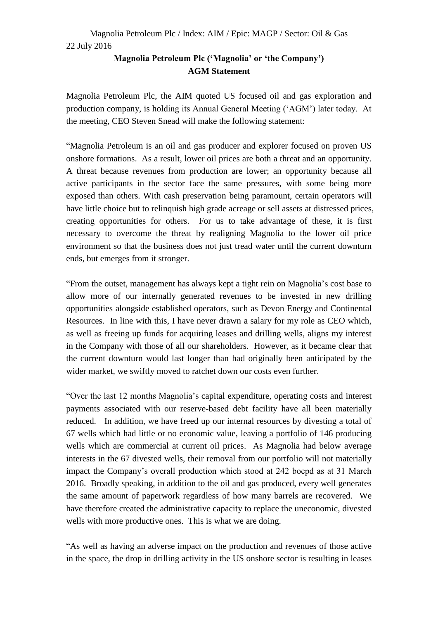# Magnolia Petroleum Plc / Index: AIM / Epic: MAGP / Sector: Oil & Gas 22 July 2016

# **Magnolia Petroleum Plc ('Magnolia' or 'the Company') AGM Statement**

Magnolia Petroleum Plc, the AIM quoted US focused oil and gas exploration and production company, is holding its Annual General Meeting ('AGM') later today. At the meeting, CEO Steven Snead will make the following statement:

"Magnolia Petroleum is an oil and gas producer and explorer focused on proven US onshore formations. As a result, lower oil prices are both a threat and an opportunity. A threat because revenues from production are lower; an opportunity because all active participants in the sector face the same pressures, with some being more exposed than others. With cash preservation being paramount, certain operators will have little choice but to relinquish high grade acreage or sell assets at distressed prices, creating opportunities for others. For us to take advantage of these, it is first necessary to overcome the threat by realigning Magnolia to the lower oil price environment so that the business does not just tread water until the current downturn ends, but emerges from it stronger.

"From the outset, management has always kept a tight rein on Magnolia's cost base to allow more of our internally generated revenues to be invested in new drilling opportunities alongside established operators, such as Devon Energy and Continental Resources. In line with this, I have never drawn a salary for my role as CEO which, as well as freeing up funds for acquiring leases and drilling wells, aligns my interest in the Company with those of all our shareholders. However, as it became clear that the current downturn would last longer than had originally been anticipated by the wider market, we swiftly moved to ratchet down our costs even further.

"Over the last 12 months Magnolia's capital expenditure, operating costs and interest payments associated with our reserve-based debt facility have all been materially reduced. In addition, we have freed up our internal resources by divesting a total of 67 wells which had little or no economic value, leaving a portfolio of 146 producing wells which are commercial at current oil prices. As Magnolia had below average interests in the 67 divested wells, their removal from our portfolio will not materially impact the Company's overall production which stood at 242 boepd as at 31 March 2016. Broadly speaking, in addition to the oil and gas produced, every well generates the same amount of paperwork regardless of how many barrels are recovered. We have therefore created the administrative capacity to replace the uneconomic, divested wells with more productive ones. This is what we are doing.

"As well as having an adverse impact on the production and revenues of those active in the space, the drop in drilling activity in the US onshore sector is resulting in leases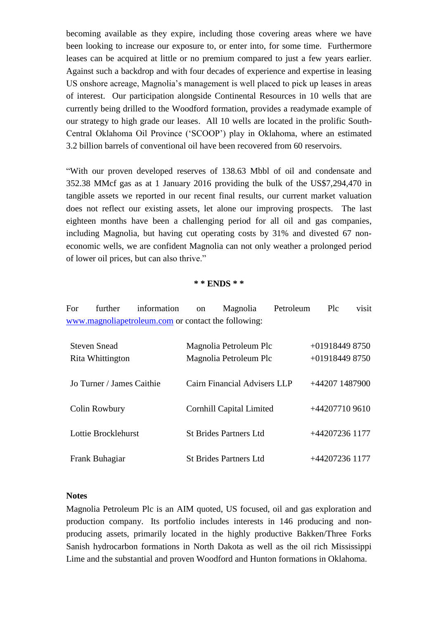becoming available as they expire, including those covering areas where we have been looking to increase our exposure to, or enter into, for some time. Furthermore leases can be acquired at little or no premium compared to just a few years earlier. Against such a backdrop and with four decades of experience and expertise in leasing US onshore acreage, Magnolia's management is well placed to pick up leases in areas of interest. Our participation alongside Continental Resources in 10 wells that are currently being drilled to the Woodford formation, provides a readymade example of our strategy to high grade our leases. All 10 wells are located in the prolific South-Central Oklahoma Oil Province ('SCOOP') play in Oklahoma, where an estimated 3.2 billion barrels of conventional oil have been recovered from 60 reservoirs.

"With our proven developed reserves of 138.63 Mbbl of oil and condensate and 352.38 MMcf gas as at 1 January 2016 providing the bulk of the US\$7,294,470 in tangible assets we reported in our recent final results, our current market valuation does not reflect our existing assets, let alone our improving prospects. The last eighteen months have been a challenging period for all oil and gas companies, including Magnolia, but having cut operating costs by 31% and divested 67 noneconomic wells, we are confident Magnolia can not only weather a prolonged period of lower oil prices, but can also thrive."

#### **\* \* ENDS \* \***

| For | further information on Magnolia                     |  | Petroleum Plc | visit |
|-----|-----------------------------------------------------|--|---------------|-------|
|     | www.magnoliapetroleum.com or contact the following: |  |               |       |

| <b>Steven Snead</b>       | Magnolia Petroleum Plc          | $+019184498750$ |
|---------------------------|---------------------------------|-----------------|
| Rita Whittington          | Magnolia Petroleum Plc          | $+019184498750$ |
| Jo Turner / James Caithie | Cairn Financial Advisers LLP    | +44207 1487900  |
| Colin Rowbury             | <b>Cornhill Capital Limited</b> | +44207710 9610  |
| Lottie Brocklehurst       | <b>St Brides Partners Ltd</b>   | +44207236 1177  |
| Frank Buhagiar            | <b>St Brides Partners Ltd</b>   | +44207236 1177  |

### **Notes**

Magnolia Petroleum Plc is an AIM quoted, US focused, oil and gas exploration and production company. Its portfolio includes interests in 146 producing and nonproducing assets, primarily located in the highly productive Bakken/Three Forks Sanish hydrocarbon formations in North Dakota as well as the oil rich Mississippi Lime and the substantial and proven Woodford and Hunton formations in Oklahoma.